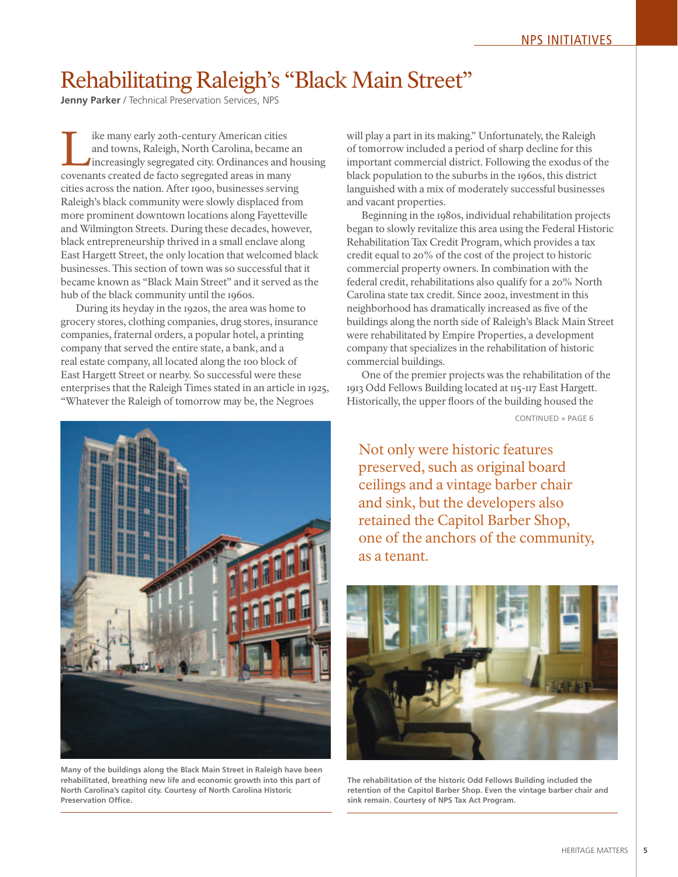## Rehabilitating Raleigh's "Black Main Street"

**Jenny Parker** / Technical Preservation Services, NPS

Ike many early 20th-century American cities<br>
and towns, Raleigh, North Carolina, became an<br>
increasingly segregated city. Ordinances and housing<br>
covenants created de facto segregated areas in many and towns, Raleigh, North Carolina, became an covenants created de facto segregated areas in many cities across the nation. After 1900, businesses serving Raleigh's black community were slowly displaced from more prominent downtown locations along Fayetteville and Wilmington Streets. During these decades, however, black entrepreneurship thrived in a small enclave along East Hargett Street, the only location that welcomed black businesses. This section of town was so successful that it became known as "Black Main Street" and it served as the hub of the black community until the 1960s.

During its heyday in the 1920s, the area was home to grocery stores, clothing companies, drug stores, insurance companies, fraternal orders, a popular hotel, a printing company that served the entire state, a bank, and a real estate company, all located along the 100 block of East Hargett Street or nearby. So successful were these enterprises that the Raleigh Times stated in an article in 1925, "Whatever the Raleigh of tomorrow may be, the Negroes



**Many of the buildings along the Black Main Street in Raleigh have been rehabilitated, breathing new life and economic growth into this part of North Carolina's capitol city. Courtesy of North Carolina Historic Preservation Office.**

will play a part in its making." Unfortunately, the Raleigh of tomorrow included a period of sharp decline for this important commercial district. Following the exodus of the black population to the suburbs in the 1960s, this district languished with a mix of moderately successful businesses and vacant properties.

Beginning in the 1980s, individual rehabilitation projects began to slowly revitalize this area using the Federal Historic Rehabilitation Tax Credit Program, which provides a tax credit equal to 20% of the cost of the project to historic commercial property owners. In combination with the federal credit, rehabilitations also qualify for a 20% North Carolina state tax credit. Since 2002, investment in this neighborhood has dramatically increased as five of the buildings along the north side of Raleigh's Black Main Street were rehabilitated by Empire Properties, a development company that specializes in the rehabilitation of historic commercial buildings.

One of the premier projects was the rehabilitation of the 1913 Odd Fellows Building located at 115-117 East Hargett. Historically, the upper floors of the building housed the

CONTINUED » PAGE 6

Not only were historic features preserved, such as original board ceilings and a vintage barber chair and sink, but the developers also retained the Capitol Barber Shop, one of the anchors of the community, as a tenant.



**The rehabilitation of the historic Odd Fellows Building included the retention of the Capitol Barber Shop. Even the vintage barber chair and sink remain. Courtesy of NPS Tax Act Program.**